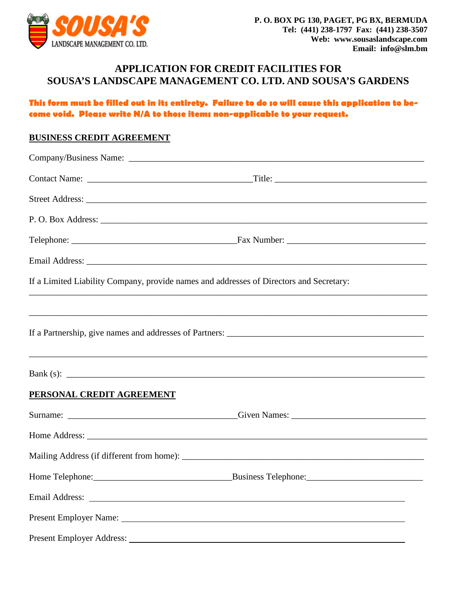

# **APPLICATION FOR CREDIT FACILITIES FOR SOUSA'S LANDSCAPE MANAGEMENT CO. LTD. AND SOUSA'S GARDENS**

### **This form must be filled out in its entirety. Failure to do so will cause this application to become void. Please write N/A to those items non-applicable to your request.**

#### **BUSINESS CREDIT AGREEMENT**

|                           | If a Limited Liability Company, provide names and addresses of Directors and Secretary:                                                                                                                                        |
|---------------------------|--------------------------------------------------------------------------------------------------------------------------------------------------------------------------------------------------------------------------------|
|                           |                                                                                                                                                                                                                                |
|                           |                                                                                                                                                                                                                                |
|                           | Bank (s): $\qquad \qquad$                                                                                                                                                                                                      |
| PERSONAL CREDIT AGREEMENT |                                                                                                                                                                                                                                |
|                           |                                                                                                                                                                                                                                |
|                           |                                                                                                                                                                                                                                |
|                           |                                                                                                                                                                                                                                |
|                           |                                                                                                                                                                                                                                |
|                           | Email Address: No. 2016. The Contract of the Contract of the Contract of the Contract of the Contract of the Contract of the Contract of the Contract of the Contract of the Contract of the Contract of the Contract of the C |
|                           |                                                                                                                                                                                                                                |
|                           |                                                                                                                                                                                                                                |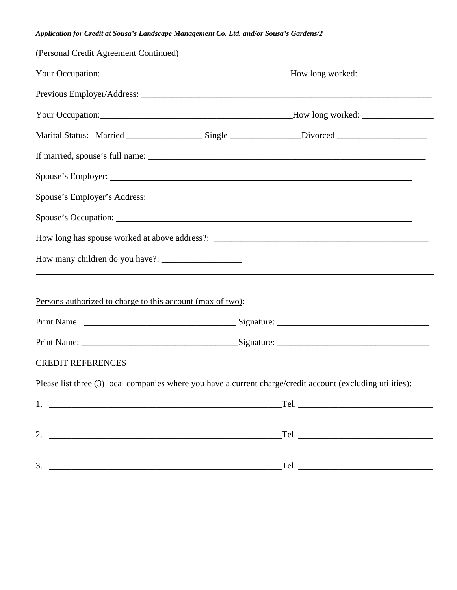#### *Application for Credit at Sousa's Landscape Management Co. Ltd. and/or Sousa's Gardens/2*

| (Personal Credit Agreement Continued)                      |                                                                                                             |  |  |  |
|------------------------------------------------------------|-------------------------------------------------------------------------------------------------------------|--|--|--|
|                                                            |                                                                                                             |  |  |  |
|                                                            |                                                                                                             |  |  |  |
|                                                            |                                                                                                             |  |  |  |
|                                                            | Marital Status: Married ______________________Single _______________Divorced _______________________        |  |  |  |
|                                                            |                                                                                                             |  |  |  |
|                                                            |                                                                                                             |  |  |  |
|                                                            |                                                                                                             |  |  |  |
|                                                            |                                                                                                             |  |  |  |
|                                                            |                                                                                                             |  |  |  |
|                                                            |                                                                                                             |  |  |  |
|                                                            |                                                                                                             |  |  |  |
| Persons authorized to charge to this account (max of two): |                                                                                                             |  |  |  |
|                                                            |                                                                                                             |  |  |  |
|                                                            |                                                                                                             |  |  |  |
| <b>CREDIT REFERENCES</b>                                   |                                                                                                             |  |  |  |
|                                                            | Please list three (3) local companies where you have a current charge/credit account (excluding utilities): |  |  |  |
|                                                            |                                                                                                             |  |  |  |
|                                                            |                                                                                                             |  |  |  |
|                                                            |                                                                                                             |  |  |  |
| 3.                                                         |                                                                                                             |  |  |  |